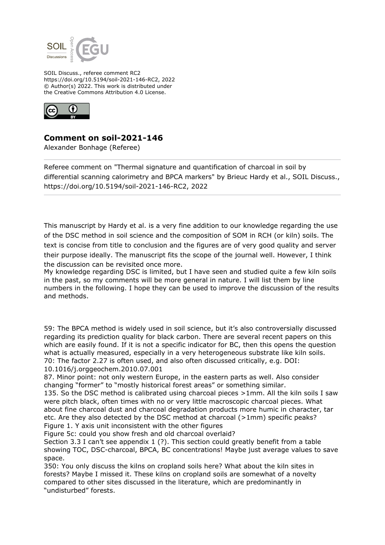

SOIL Discuss., referee comment RC2 https://doi.org/10.5194/soil-2021-146-RC2, 2022 © Author(s) 2022. This work is distributed under the Creative Commons Attribution 4.0 License.



## **Comment on soil-2021-146**

Alexander Bonhage (Referee)

Referee comment on "Thermal signature and quantification of charcoal in soil by differential scanning calorimetry and BPCA markers" by Brieuc Hardy et al., SOIL Discuss., https://doi.org/10.5194/soil-2021-146-RC2, 2022

This manuscript by Hardy et al. is a very fine addition to our knowledge regarding the use of the DSC method in soil science and the composition of SOM in RCH (or kiln) soils. The text is concise from title to conclusion and the figures are of very good quality and server their purpose ideally. The manuscript fits the scope of the journal well. However, I think the discussion can be revisited once more.

My knowledge regarding DSC is limited, but I have seen and studied quite a few kiln soils in the past, so my comments will be more general in nature. I will list them by line numbers in the following. I hope they can be used to improve the discussion of the results and methods.

59: The BPCA method is widely used in soil science, but it's also controversially discussed regarding its prediction quality for black carbon. There are several recent papers on this which are easily found. If it is not a specific indicator for BC, then this opens the question what is actually measured, especially in a very heterogeneous substrate like kiln soils. 70: The factor 2.27 is often used, and also often discussed critically, e.g. DOI: 10.1016/j.orggeochem.2010.07.001

87. Minor point: not only western Europe, in the eastern parts as well. Also consider changing "former" to "mostly historical forest areas" or something similar.

135. So the DSC method is calibrated using charcoal pieces >1mm. All the kiln soils I saw were pitch black, often times with no or very little macroscopic charcoal pieces. What about fine charcoal dust and charcoal degradation products more humic in character, tar etc. Are they also detected by the DSC method at charcoal (>1mm) specific peaks? Figure 1. Y axis unit inconsistent with the other figures

Figure 5c: could you show fresh and old charcoal overlaid?

Section 3.3 I can't see appendix 1 (?). This section could greatly benefit from a table showing TOC, DSC-charcoal, BPCA, BC concentrations! Maybe just average values to save space.

350: You only discuss the kilns on cropland soils here? What about the kiln sites in forests? Maybe I missed it. These kilns on cropland soils are somewhat of a novelty compared to other sites discussed in the literature, which are predominantly in "undisturbed" forests.